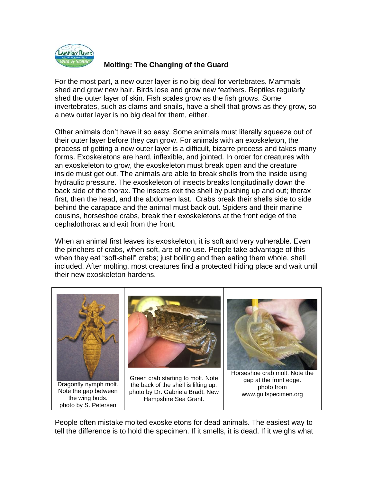

## **Molting: The Changing of the Guard**

For the most part, a new outer layer is no big deal for vertebrates. Mammals shed and grow new hair. Birds lose and grow new feathers. Reptiles regularly shed the outer layer of skin. Fish scales grow as the fish grows. Some invertebrates, such as clams and snails, have a shell that grows as they grow, so a new outer layer is no big deal for them, either.

Other animals don't have it so easy. Some animals must literally squeeze out of their outer layer before they can grow. For animals with an exoskeleton, the process of getting a new outer layer is a difficult, bizarre process and takes many forms. Exoskeletons are hard, inflexible, and jointed. In order for creatures with an exoskeleton to grow, the exoskeleton must break open and the creature inside must get out. The animals are able to break shells from the inside using hydraulic pressure. The exoskeleton of insects breaks longitudinally down the back side of the thorax. The insects exit the shell by pushing up and out; thorax first, then the head, and the abdomen last. Crabs break their shells side to side behind the carapace and the animal must back out. Spiders and their marine cousins, horseshoe crabs, break their exoskeletons at the front edge of the cephalothorax and exit from the front.

When an animal first leaves its exoskeleton, it is soft and very vulnerable. Even the pinchers of crabs, when soft, are of no use. People take advantage of this when they eat "soft-shell" crabs; just boiling and then eating them whole, shell included. After molting, most creatures find a protected hiding place and wait until their new exoskeleton hardens.



People often mistake molted exoskeletons for dead animals. The easiest way to tell the difference is to hold the specimen. If it smells, it is dead. If it weighs what